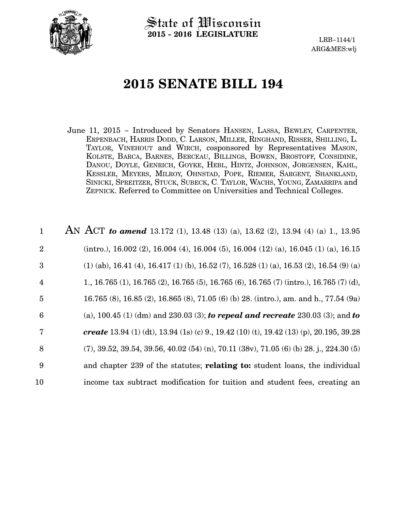

State of Wisconsin 2015 − 2016 LEGISLATURE

LRB−1144/1 ARG&MES:wlj

# 2015 SENATE BILL 194

June 11, 2015 − Introduced by Senators HANSEN, LASSA, BEWLEY, CARPENTER, ERPENBACH, HARRIS DODD, C. LARSON, MILLER, RINGHAND, RISSER, SHILLING, L. TAYLOR, VINEHOUT and WIRCH, cosponsored by Representatives MASON, KOLSTE, BARCA, BARNES, BERCEAU, BILLINGS, BOWEN, BROSTOFF, CONSIDINE, DANOU, DOYLE, GENRICH, GOYKE, HEBL, HINTZ, JOHNSON, JORGENSEN, KAHL, KESSLER, MEYERS, MILROY, OHNSTAD, POPE, RIEMER, SARGENT, SHANKLAND, SINICKI, SPREITZER, STUCK, SUBECK, C. TAYLOR, WACHS, YOUNG, ZAMARRIPA and ZEPNICK. Referred to Committee on Universities and Technical Colleges.

| $\mathbf{1}$    | AN ACT to amend 13.172 (1), 13.48 (13) (a), 13.62 (2), 13.94 (4) (a) 1, 13.95                  |
|-----------------|------------------------------------------------------------------------------------------------|
| $\overline{2}$  | $(intro.), 16.002 (2), 16.004 (4), 16.004 (5), 16.004 (12) (a), 16.045 (1) (a), 16.15$         |
| 3               | $(1)$ (ab), 16.41 (4), 16.417 (1) (b), 16.52 (7), 16.528 (1) (a), 16.53 (2), 16.54 (9) (a)     |
| $\overline{4}$  | 1., 16.765 (1), 16.765 (2), 16.765 (5), 16.765 (6), 16.765 (7) (intro.), 16.765 (7) (d),       |
| $\overline{5}$  | 16.765 (8), 16.85 (2), 16.865 (8), 71.05 (6) (b) 28. (intro.), am. and h., 77.54 (9a)          |
| $6\phantom{1}6$ | (a), 100.45 (1) (dm) and 230.03 (3); to repeal and recreate 230.03 (3); and to                 |
| $\overline{7}$  | <b>create</b> 13.94 (1) (dt), 13.94 (1s) (c) 9., 19.42 (10) (t), 19.42 (13) (p), 20.195, 39.28 |
| 8               | $(7), 39.52, 39.54, 39.56, 40.02$ (54) (n), 70.11 (38v), 71.05 (6) (b) 28. j., 224.30 (5)      |
| 9               | and chapter 239 of the statutes; relating to: student loans, the individual                    |
| 10              | income tax subtract modification for tuition and student fees, creating an                     |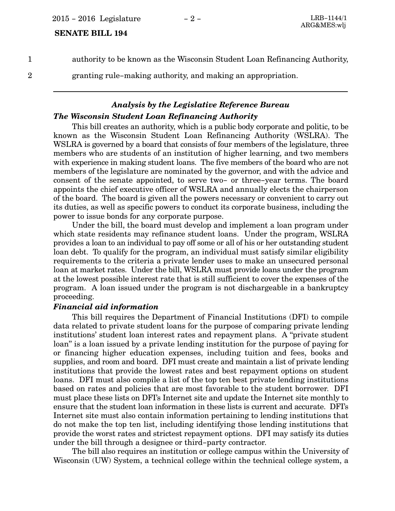1

authority to be known as the Wisconsin Student Loan Refinancing Authority,

2

granting rule−making authority, and making an appropriation.

### Analysis by the Legislative Reference Bureau The Wisconsin Student Loan Refinancing Authority

This bill creates an authority, which is a public body corporate and politic, to be known as the Wisconsin Student Loan Refinancing Authority (WSLRA). The WSLRA is governed by a board that consists of four members of the legislature, three members who are students of an institution of higher learning, and two members with experience in making student loans. The five members of the board who are not members of the legislature are nominated by the governor, and with the advice and consent of the senate appointed, to serve two− or three−year terms. The board appoints the chief executive officer of WSLRA and annually elects the chairperson of the board. The board is given all the powers necessary or convenient to carry out its duties, as well as specific powers to conduct its corporate business, including the power to issue bonds for any corporate purpose.

Under the bill, the board must develop and implement a loan program under which state residents may refinance student loans. Under the program, WSLRA provides a loan to an individual to pay off some or all of his or her outstanding student loan debt. To qualify for the program, an individual must satisfy similar eligibility requirements to the criteria a private lender uses to make an unsecured personal loan at market rates. Under the bill, WSLRA must provide loans under the program at the lowest possible interest rate that is still sufficient to cover the expenses of the program. A loan issued under the program is not dischargeable in a bankruptcy proceeding.

#### Financial aid information

This bill requires the Department of Financial Institutions (DFI) to compile data related to private student loans for the purpose of comparing private lending institutions' student loan interest rates and repayment plans. A "private student" loan" is a loan issued by a private lending institution for the purpose of paying for or financing higher education expenses, including tuition and fees, books and supplies, and room and board. DFI must create and maintain a list of private lending institutions that provide the lowest rates and best repayment options on student loans. DFI must also compile a list of the top ten best private lending institutions based on rates and policies that are most favorable to the student borrower. DFI must place these lists on DFI's Internet site and update the Internet site monthly to ensure that the student loan information in these lists is current and accurate. DFI's Internet site must also contain information pertaining to lending institutions that do not make the top ten list, including identifying those lending institutions that provide the worst rates and strictest repayment options. DFI may satisfy its duties under the bill through a designee or third−party contractor.

The bill also requires an institution or college campus within the University of Wisconsin (UW) System, a technical college within the technical college system, a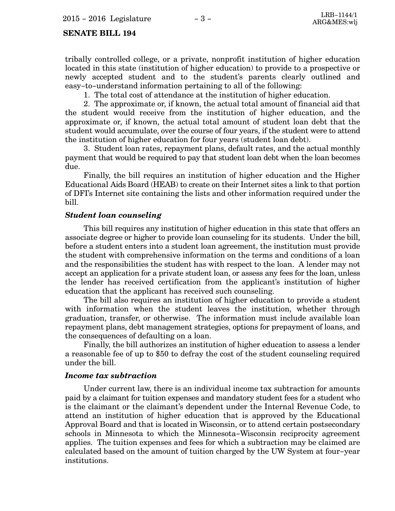tribally controlled college, or a private, nonprofit institution of higher education located in this state (institution of higher education) to provide to a prospective or newly accepted student and to the student's parents clearly outlined and easy−to−understand information pertaining to all of the following:

1. The total cost of attendance at the institution of higher education.

2. The approximate or, if known, the actual total amount of financial aid that the student would receive from the institution of higher education, and the approximate or, if known, the actual total amount of student loan debt that the student would accumulate, over the course of four years, if the student were to attend the institution of higher education for four years (student loan debt).

3. Student loan rates, repayment plans, default rates, and the actual monthly payment that would be required to pay that student loan debt when the loan becomes due.

Finally, the bill requires an institution of higher education and the Higher Educational Aids Board (HEAB) to create on their Internet sites a link to that portion of DFI's Internet site containing the lists and other information required under the bill.

#### Student loan counseling

This bill requires any institution of higher education in this state that offers an associate degree or higher to provide loan counseling for its students. Under the bill, before a student enters into a student loan agreement, the institution must provide the student with comprehensive information on the terms and conditions of a loan and the responsibilities the student has with respect to the loan. A lender may not accept an application for a private student loan, or assess any fees for the loan, unless the lender has received certification from the applicant's institution of higher education that the applicant has received such counseling.

The bill also requires an institution of higher education to provide a student with information when the student leaves the institution, whether through graduation, transfer, or otherwise. The information must include available loan repayment plans, debt management strategies, options for prepayment of loans, and the consequences of defaulting on a loan.

Finally, the bill authorizes an institution of higher education to assess a lender a reasonable fee of up to \$50 to defray the cost of the student counseling required under the bill.

#### Income tax subtraction

Under current law, there is an individual income tax subtraction for amounts paid by a claimant for tuition expenses and mandatory student fees for a student who is the claimant or the claimant's dependent under the Internal Revenue Code, to attend an institution of higher education that is approved by the Educational Approval Board and that is located in Wisconsin, or to attend certain postsecondary schools in Minnesota to which the Minnesota−Wisconsin reciprocity agreement applies. The tuition expenses and fees for which a subtraction may be claimed are calculated based on the amount of tuition charged by the UW System at four−year institutions.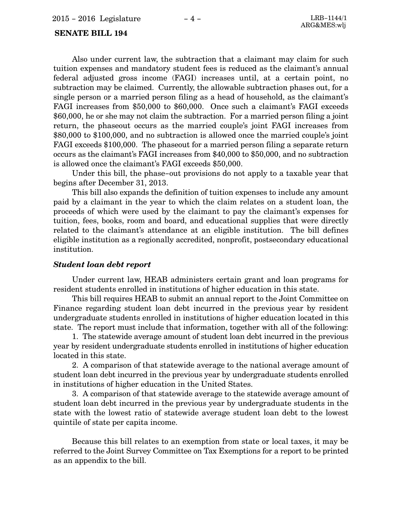Also under current law, the subtraction that a claimant may claim for such tuition expenses and mandatory student fees is reduced as the claimant's annual federal adjusted gross income (FAGI) increases until, at a certain point, no subtraction may be claimed. Currently, the allowable subtraction phases out, for a single person or a married person filing as a head of household, as the claimant's FAGI increases from \$50,000 to \$60,000. Once such a claimant's FAGI exceeds \$60,000, he or she may not claim the subtraction. For a married person filing a joint return, the phaseout occurs as the married couple's joint FAGI increases from \$80,000 to \$100,000, and no subtraction is allowed once the married couple's joint FAGI exceeds \$100,000. The phaseout for a married person filing a separate return occurs as the claimant's FAGI increases from \$40,000 to \$50,000, and no subtraction is allowed once the claimant's FAGI exceeds \$50,000.

Under this bill, the phase−out provisions do not apply to a taxable year that begins after December 31, 2013.

This bill also expands the definition of tuition expenses to include any amount paid by a claimant in the year to which the claim relates on a student loan, the proceeds of which were used by the claimant to pay the claimant's expenses for tuition, fees, books, room and board, and educational supplies that were directly related to the claimant's attendance at an eligible institution. The bill defines eligible institution as a regionally accredited, nonprofit, postsecondary educational institution.

#### Student loan debt report

Under current law, HEAB administers certain grant and loan programs for resident students enrolled in institutions of higher education in this state.

This bill requires HEAB to submit an annual report to the Joint Committee on Finance regarding student loan debt incurred in the previous year by resident undergraduate students enrolled in institutions of higher education located in this state. The report must include that information, together with all of the following:

1. The statewide average amount of student loan debt incurred in the previous year by resident undergraduate students enrolled in institutions of higher education located in this state.

2. A comparison of that statewide average to the national average amount of student loan debt incurred in the previous year by undergraduate students enrolled in institutions of higher education in the United States.

3. A comparison of that statewide average to the statewide average amount of student loan debt incurred in the previous year by undergraduate students in the state with the lowest ratio of statewide average student loan debt to the lowest quintile of state per capita income.

Because this bill relates to an exemption from state or local taxes, it may be referred to the Joint Survey Committee on Tax Exemptions for a report to be printed as an appendix to the bill.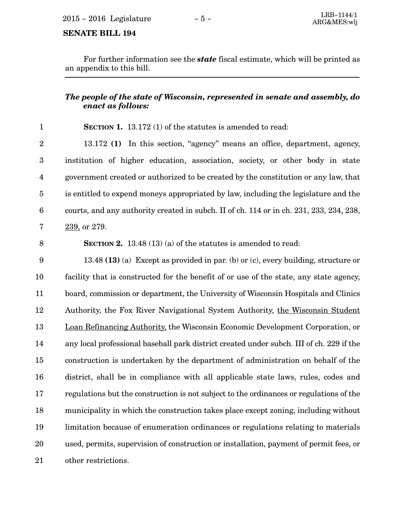For further information see the state fiscal estimate, which will be printed as an appendix to this bill.

### The people of the state of Wisconsin, represented in senate and assembly, do enact as follows:

| $\mathbf{1}$            | <b>SECTION 1.</b> 13.172 (1) of the statutes is amended to read:                         |
|-------------------------|------------------------------------------------------------------------------------------|
| $\overline{2}$          | 13.172 (1) In this section, "agency" means an office, department, agency,                |
| $\boldsymbol{3}$        | institution of higher education, association, society, or other body in state            |
| $\overline{\mathbf{4}}$ | government created or authorized to be created by the constitution or any law, that      |
| $\overline{5}$          | is entitled to expend moneys appropriated by law, including the legislature and the      |
| $\boldsymbol{6}$        | courts, and any authority created in subch. II of ch. 114 or in ch. 231, 233, 234, 238,  |
| $\bf 7$                 | 239, or 279.                                                                             |
| 8                       | <b>SECTION 2.</b> 13.48 (13) (a) of the statutes is amended to read:                     |
| $\boldsymbol{9}$        | 13.48 (13) (a) Except as provided in par. (b) or (c), every building, structure or       |
| 10                      | facility that is constructed for the benefit of or use of the state, any state agency,   |
| 11                      | board, commission or department, the University of Wisconsin Hospitals and Clinics       |
| 12                      | Authority, the Fox River Navigational System Authority, the Wisconsin Student            |
| 13                      | Loan Refinancing Authority, the Wisconsin Economic Development Corporation, or           |
| 14                      | any local professional baseball park district created under subch. III of ch. 229 if the |
| 15                      | construction is undertaken by the department of administration on behalf of the          |
| 16                      | district, shall be in compliance with all applicable state laws, rules, codes and        |
| 17                      | regulations but the construction is not subject to the ordinances or regulations of the  |
| 18                      | municipality in which the construction takes place except zoning, including without      |
| 19                      | limitation because of enumeration ordinances or regulations relating to materials        |
| 20                      | used, permits, supervision of construction or installation, payment of permit fees, or   |

other restrictions. 21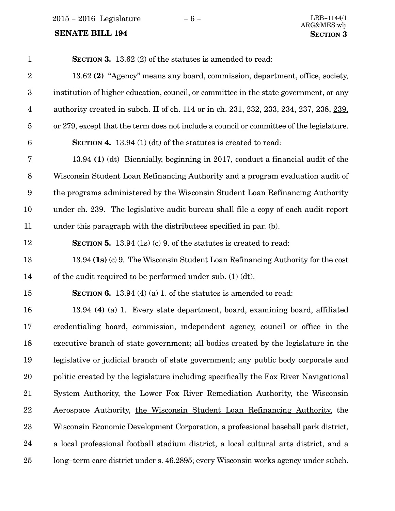2015 − 2016 Legislature − 6 − LRB−1144/1

## **SENATE BILL 194**

| $\mathbf{1}$            | <b>SECTION 3.</b> 13.62 (2) of the statutes is amended to read:                          |
|-------------------------|------------------------------------------------------------------------------------------|
| $\overline{2}$          | 13.62 (2) "Agency" means any board, commission, department, office, society,             |
| $\boldsymbol{3}$        | institution of higher education, council, or committee in the state government, or any   |
| $\overline{\mathbf{4}}$ | authority created in subch. II of ch. 114 or in ch. 231, 232, 233, 234, 237, 238, 239.   |
| $\overline{5}$          | or 279, except that the term does not include a council or committee of the legislature. |
| $6\phantom{.}6$         | <b>SECTION 4.</b> 13.94 (1) (dt) of the statutes is created to read:                     |
| 7                       | 13.94 (1) (dt) Biennially, beginning in 2017, conduct a financial audit of the           |
| 8                       | Wisconsin Student Loan Refinancing Authority and a program evaluation audit of           |
| $9\phantom{.0}$         | the programs administered by the Wisconsin Student Loan Refinancing Authority            |
| 10                      | under ch. 239. The legislative audit bureau shall file a copy of each audit report       |
| 11                      | under this paragraph with the distributees specified in par. (b).                        |
| 12                      | <b>SECTION 5.</b> 13.94 $(1s)$ (c) 9. of the statutes is created to read:                |
| 13                      | 13.94 (1s) (c) 9. The Wisconsin Student Loan Refinancing Authority for the cost          |
| 14                      | of the audit required to be performed under sub. $(1)$ $(dt)$ .                          |
| 15                      | <b>SECTION 6.</b> 13.94 (4) (a) 1. of the statutes is amended to read:                   |
| 16                      | 13.94 (4) (a) 1. Every state department, board, examining board, affiliated              |
| 17                      | credentialing board, commission, independent agency, council or office in the            |
| 18                      | executive branch of state government; all bodies created by the legislature in the       |
| 19                      | legislative or judicial branch of state government; any public body corporate and        |
| 20                      | politic created by the legislature including specifically the Fox River Navigational     |
| 21                      | System Authority, the Lower Fox River Remediation Authority, the Wisconsin               |
| 22                      | Aerospace Authority, the Wisconsin Student Loan Refinancing Authority, the               |
| 23                      | Wisconsin Economic Development Corporation, a professional baseball park district,       |
| 24                      | a local professional football stadium district, a local cultural arts district, and a    |
| 25                      | long-term care district under s. 46.2895; every Wisconsin works agency under subch.      |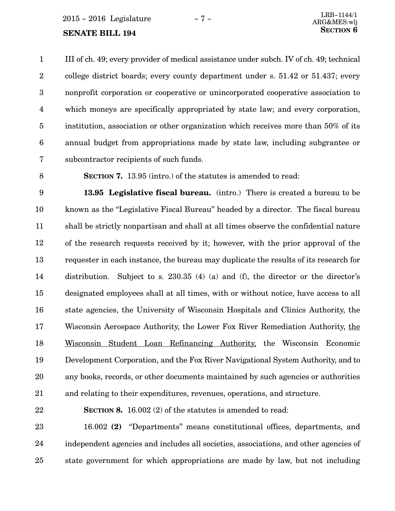$2015 - 2016$  Legislature  $-7 -$ <br>ABC MES-

III of ch. 49; every provider of medical assistance under subch. IV of ch. 49; technical college district boards; every county department under s. 51.42 or 51.437; every nonprofit corporation or cooperative or unincorporated cooperative association to which moneys are specifically appropriated by state law; and every corporation, institution, association or other organization which receives more than 50% of its annual budget from appropriations made by state law, including subgrantee or subcontractor recipients of such funds. 1 2 3 4 5 6 7

8

SECTION 7. 13.95 (intro.) of the statutes is amended to read:

13.95 Legislative fiscal bureau. (intro.) There is created a bureau to be known as the "Legislative Fiscal Bureau" headed by a director. The fiscal bureau shall be strictly nonpartisan and shall at all times observe the confidential nature of the research requests received by it; however, with the prior approval of the requester in each instance, the bureau may duplicate the results of its research for distribution. Subject to s. 230.35 (4) (a) and (f), the director or the director's designated employees shall at all times, with or without notice, have access to all state agencies, the University of Wisconsin Hospitals and Clinics Authority, the Wisconsin Aerospace Authority, the Lower Fox River Remediation Authority, the Wisconsin Student Loan Refinancing Authority, the Wisconsin Economic Development Corporation, and the Fox River Navigational System Authority, and to any books, records, or other documents maintained by such agencies or authorities and relating to their expenditures, revenues, operations, and structure. 9 10 11 12 13 14 15 16 17 18 19 20 21

### 22

SECTION 8. 16.002 (2) of the statutes is amended to read:

16.002 (2) "Departments" means constitutional offices, departments, and independent agencies and includes all societies, associations, and other agencies of state government for which appropriations are made by law, but not including 23 24 25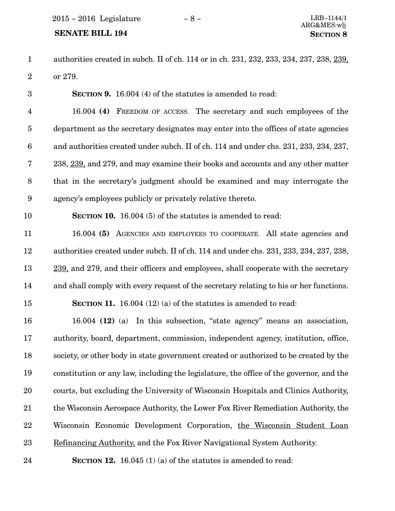#### SENATE BILL 194 SECTION 8

authorities created in subch. II of ch. 114 or in ch. 231, 232, 233, 234, 237, 238, 239, or 279. 1 2

SECTION 9. 16.004 (4) of the statutes is amended to read: 16.004 (4) FREEDOM OF ACCESS. The secretary and such employees of the department as the secretary designates may enter into the offices of state agencies and authorities created under subch. II of ch. 114 and under chs. 231, 233, 234, 237, 238, 239, and 279, and may examine their books and accounts and any other matter that in the secretary's judgment should be examined and may interrogate the agency's employees publicly or privately relative thereto. 3 4 5 6 7 8 9

#### 10

SECTION 10. 16.004 (5) of the statutes is amended to read:

16.004 (5) AGENCIES AND EMPLOYEES TO COOPERATE. All state agencies and authorities created under subch. II of ch. 114 and under chs. 231, 233, 234, 237, 238, 239, and 279, and their officers and employees, shall cooperate with the secretary and shall comply with every request of the secretary relating to his or her functions. 11 12 13 14

#### 15

SECTION 11. 16.004 (12) (a) of the statutes is amended to read:

16.004 (12) (a) In this subsection, "state agency" means an association, authority, board, department, commission, independent agency, institution, office, society, or other body in state government created or authorized to be created by the constitution or any law, including the legislature, the office of the governor, and the courts, but excluding the University of Wisconsin Hospitals and Clinics Authority, the Wisconsin Aerospace Authority, the Lower Fox River Remediation Authority, the Wisconsin Economic Development Corporation, the Wisconsin Student Loan Refinancing Authority, and the Fox River Navigational System Authority. 16 17 18 19 20 21 22 23

SECTION 12. 16.045 (1) (a) of the statutes is amended to read: 24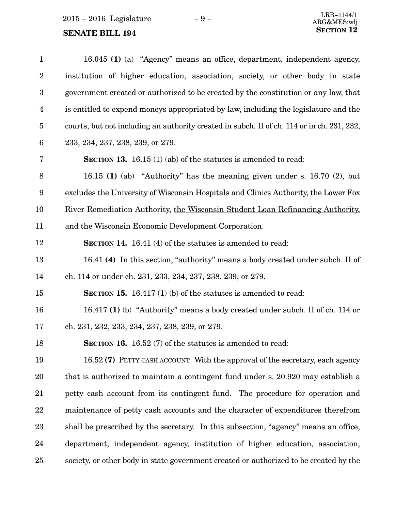2015 – 2016 Legislature − 9 –

### **SENATE BILL 194**

| $\mathbf{1}$     | 16.045 (1) (a) "Agency" means an office, department, independent agency,                   |
|------------------|--------------------------------------------------------------------------------------------|
| $\boldsymbol{2}$ | institution of higher education, association, society, or other body in state              |
| $\boldsymbol{3}$ | government created or authorized to be created by the constitution or any law, that        |
| $\overline{4}$   | is entitled to expend moneys appropriated by law, including the legislature and the        |
| $\bf 5$          | courts, but not including an authority created in subch. II of ch. 114 or in ch. 231, 232, |
| $\boldsymbol{6}$ | 233, 234, 237, 238, 239, or 279.                                                           |
| 7                | <b>SECTION 13.</b> 16.15 (1) (ab) of the statures is amended to read:                      |
| 8                | 16.15 (1) (ab) "Authority" has the meaning given under s. 16.70 (2), but                   |
| 9                | excludes the University of Wisconsin Hospitals and Clinics Authority, the Lower Fox        |
| 10               | River Remediation Authority, the Wisconsin Student Loan Refinancing Authority.             |
| 11               | and the Wisconsin Economic Development Corporation.                                        |
| 12               | <b>SECTION 14.</b> 16.41 (4) of the statutes is amended to read:                           |
| 13               | 16.41 (4) In this section, "authority" means a body created under subch. II of             |
| 14               | ch. 114 or under ch. 231, 233, 234, 237, 238, 239, or 279.                                 |
| 15               | <b>SECTION 15.</b> 16.417 (1) (b) of the statures is amended to read:                      |
| 16               | 16.417 (1) (b) "Authority" means a body created under subch. II of ch. 114 or              |
| 17               | ch. 231, 232, 233, 234, 237, 238, 239, or 279.                                             |
| 18               | SECTION 16. 16.52 (7) of the statutes is amended to read:                                  |
| 19               | 16.52 (7) PETTY CASH ACCOUNT. With the approval of the secretary, each agency              |
| 20               | that is authorized to maintain a contingent fund under s. 20.920 may establish a           |
| 21               | petty cash account from its contingent fund. The procedure for operation and               |
| 22               | maintenance of petty cash accounts and the character of expenditures therefrom             |
| 23               | shall be prescribed by the secretary. In this subsection, "agency" means an office,        |
| 24               | department, independent agency, institution of higher education, association,              |
| 25               | society, or other body in state government created or authorized to be created by the      |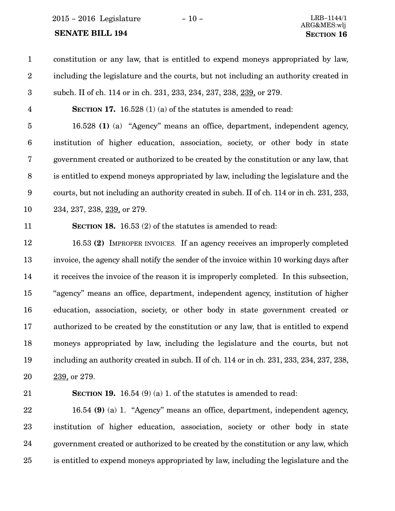2015 − 2016 Legislature − 10 − LRB−1144/1

### **SENATE BILL 194**

24

| $\mathbf{1}$            | constitution or any law, that is entitled to expend moneys appropriated by law,            |
|-------------------------|--------------------------------------------------------------------------------------------|
| $\sqrt{2}$              | including the legislature and the courts, but not including an authority created in        |
| 3                       | subch. II of ch. 114 or in ch. 231, 233, 234, 237, 238, 239, or 279.                       |
| $\overline{\mathbf{4}}$ | <b>SECTION 17.</b> 16.528 (1) (a) of the statutes is amended to read:                      |
| $\overline{5}$          | 16.528 (1) (a) "Agency" means an office, department, independent agency,                   |
| $\boldsymbol{6}$        | institution of higher education, association, society, or other body in state              |
| 7                       | government created or authorized to be created by the constitution or any law, that        |
| $\, 8$                  | is entitled to expend moneys appropriated by law, including the legislature and the        |
| $\boldsymbol{9}$        | courts, but not including an authority created in subch. II of ch. 114 or in ch. 231, 233, |
| 10                      | 234, 237, 238, 239, or 279.                                                                |
| 11                      | <b>SECTION 18.</b> 16.53 (2) of the statutes is amended to read:                           |
| 12                      | 16.53 (2) IMPROPER INVOICES. If an agency receives an improperly completed                 |
| 13                      | invoice, the agency shall notify the sender of the invoice within 10 working days after    |
| 14                      | it receives the invoice of the reason it is improperly completed. In this subsection,      |
| 15                      | "agency" means an office, department, independent agency, institution of higher            |
| 16                      | education, association, society, or other body in state government created or              |
| 17                      | authorized to be created by the constitution or any law, that is entitled to expend        |
| 18                      | moneys appropriated by law, including the legislature and the courts, but not              |
| 19                      | including an authority created in subch. II of ch. 114 or in ch. 231, 233, 234, 237, 238,  |
| 20                      | 239, or 279.                                                                               |
| 21                      | <b>SECTION 19.</b> 16.54 (9) (a) 1. of the statutes is amended to read:                    |
| 22                      | 16.54 (9) (a) 1. "Agency" means an office, department, independent agency,                 |
| 23                      | institution of higher education, association, society or other body in state               |

government created or authorized to be created by the constitution or any law, which is entitled to expend moneys appropriated by law, including the legislature and the 25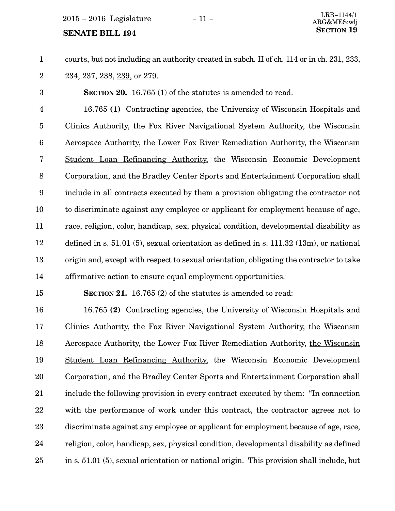$2015 - 2016$  Legislature  $-11 -$ 

#### **SENATE BILL 194**

courts, but not including an authority created in subch. II of ch. 114 or in ch. 231, 233, 234, 237, 238, 239, or 279. 1 2

SECTION 20. 16.765 (1) of the statutes is amended to read: 3

16.765 (1) Contracting agencies, the University of Wisconsin Hospitals and Clinics Authority, the Fox River Navigational System Authority, the Wisconsin Aerospace Authority, the Lower Fox River Remediation Authority, the Wisconsin Student Loan Refinancing Authority, the Wisconsin Economic Development Corporation, and the Bradley Center Sports and Entertainment Corporation shall include in all contracts executed by them a provision obligating the contractor not to discriminate against any employee or applicant for employment because of age, race, religion, color, handicap, sex, physical condition, developmental disability as defined in s. 51.01 (5), sexual orientation as defined in s. 111.32 (13m), or national origin and, except with respect to sexual orientation, obligating the contractor to take affirmative action to ensure equal employment opportunities. 4 5 6 7 8 9 10 11 12 13 14

15

SECTION 21. 16.765 (2) of the statutes is amended to read:

16.765 (2) Contracting agencies, the University of Wisconsin Hospitals and Clinics Authority, the Fox River Navigational System Authority, the Wisconsin Aerospace Authority, the Lower Fox River Remediation Authority, the Wisconsin Student Loan Refinancing Authority, the Wisconsin Economic Development Corporation, and the Bradley Center Sports and Entertainment Corporation shall include the following provision in every contract executed by them: "In connection with the performance of work under this contract, the contractor agrees not to discriminate against any employee or applicant for employment because of age, race, religion, color, handicap, sex, physical condition, developmental disability as defined in s. 51.01 (5), sexual orientation or national origin. This provision shall include, but 16 17 18 19 20 21 22 23 24 25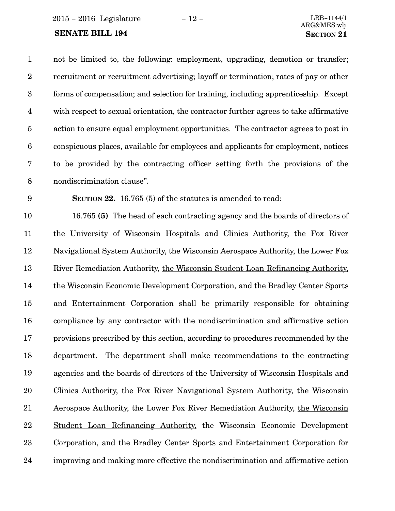2015 − 2016 Legislature − 12 − LRB−1144/1

#### SENATE BILL 194 SECTION 21

not be limited to, the following: employment, upgrading, demotion or transfer; recruitment or recruitment advertising; layoff or termination; rates of pay or other forms of compensation; and selection for training, including apprenticeship. Except with respect to sexual orientation, the contractor further agrees to take affirmative action to ensure equal employment opportunities. The contractor agrees to post in conspicuous places, available for employees and applicants for employment, notices to be provided by the contracting officer setting forth the provisions of the nondiscrimination clause". SECTION 22. 16.765 (5) of the statutes is amended to read: 16.765 (5) The head of each contracting agency and the boards of directors of the University of Wisconsin Hospitals and Clinics Authority, the Fox River Navigational System Authority, the Wisconsin Aerospace Authority, the Lower Fox River Remediation Authority, the Wisconsin Student Loan Refinancing Authority, the Wisconsin Economic Development Corporation, and the Bradley Center Sports and Entertainment Corporation shall be primarily responsible for obtaining compliance by any contractor with the nondiscrimination and affirmative action provisions prescribed by this section, according to procedures recommended by the department. The department shall make recommendations to the contracting agencies and the boards of directors of the University of Wisconsin Hospitals and Clinics Authority, the Fox River Navigational System Authority, the Wisconsin Aerospace Authority, the Lower Fox River Remediation Authority, the Wisconsin 1 2 3 4 5 6 7 8 9 10 11 12 13 14 15 16 17 18 19 20 21

Student Loan Refinancing Authority, the Wisconsin Economic Development Corporation, and the Bradley Center Sports and Entertainment Corporation for improving and making more effective the nondiscrimination and affirmative action 22 23 24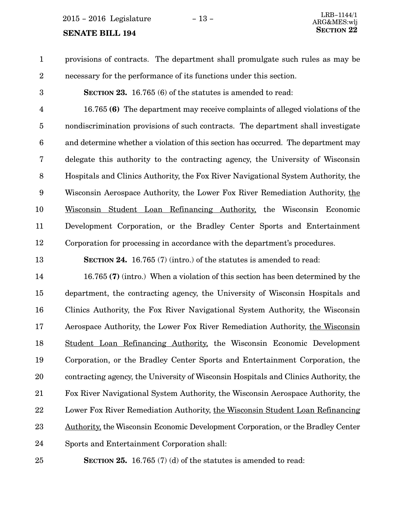2015 − 2016 Legislature − 13 − LRB−1144/1

#### **SENATE BILL 194**

provisions of contracts. The department shall promulgate such rules as may be necessary for the performance of its functions under this section. 1 2

3

13

SECTION 23. 16.765 (6) of the statutes is amended to read:

16.765 (6) The department may receive complaints of alleged violations of the nondiscrimination provisions of such contracts. The department shall investigate and determine whether a violation of this section has occurred. The department may delegate this authority to the contracting agency, the University of Wisconsin Hospitals and Clinics Authority, the Fox River Navigational System Authority, the Wisconsin Aerospace Authority, the Lower Fox River Remediation Authority, the Wisconsin Student Loan Refinancing Authority, the Wisconsin Economic Development Corporation, or the Bradley Center Sports and Entertainment Corporation for processing in accordance with the department's procedures. 4 5 6 7 8 9 10 11 12

SECTION 24. 16.765 (7) (intro.) of the statutes is amended to read:

16.765 (7) (intro.) When a violation of this section has been determined by the department, the contracting agency, the University of Wisconsin Hospitals and Clinics Authority, the Fox River Navigational System Authority, the Wisconsin Aerospace Authority, the Lower Fox River Remediation Authority, the Wisconsin Student Loan Refinancing Authority, the Wisconsin Economic Development Corporation, or the Bradley Center Sports and Entertainment Corporation, the contracting agency, the University of Wisconsin Hospitals and Clinics Authority, the Fox River Navigational System Authority, the Wisconsin Aerospace Authority, the Lower Fox River Remediation Authority, the Wisconsin Student Loan Refinancing Authority, the Wisconsin Economic Development Corporation, or the Bradley Center Sports and Entertainment Corporation shall: 14 15 16 17 18 19 20 21 22 23 24

25

SECTION 25. 16.765 (7) (d) of the statutes is amended to read: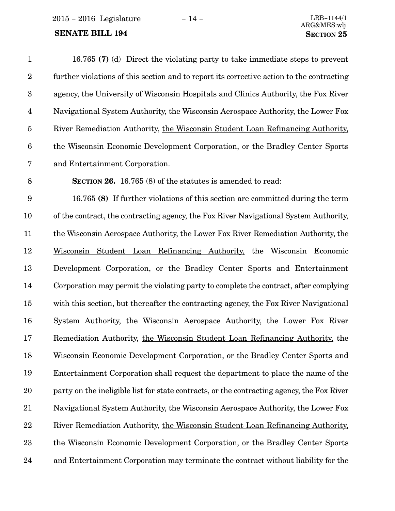2015 − 2016 Legislature − 14 − LRB−1144/1

## **SENATE BILL 194**

| $\mathbf{1}$     | 16.765 (7) (d) Direct the violating party to take immediate steps to prevent               |
|------------------|--------------------------------------------------------------------------------------------|
| $\overline{2}$   | further violations of this section and to report its corrective action to the contracting  |
| $\boldsymbol{3}$ | agency, the University of Wisconsin Hospitals and Clinics Authority, the Fox River         |
| $\overline{4}$   | Navigational System Authority, the Wisconsin Aerospace Authority, the Lower Fox            |
| $\overline{5}$   | River Remediation Authority, the Wisconsin Student Loan Refinancing Authority,             |
| $6\phantom{.}6$  | the Wisconsin Economic Development Corporation, or the Bradley Center Sports               |
| 7                | and Entertainment Corporation.                                                             |
| 8                | SECTION 26. 16.765 (8) of the statutes is amended to read:                                 |
| 9                | 16.765 (8) If further violations of this section are committed during the term             |
| 10               | of the contract, the contracting agency, the Fox River Navigational System Authority,      |
| 11               | the Wisconsin Aerospace Authority, the Lower Fox River Remediation Authority, the          |
| 12               | Wisconsin Student Loan Refinancing Authority, the Wisconsin Economic                       |
| 13               | Development Corporation, or the Bradley Center Sports and Entertainment                    |
| 14               | Corporation may permit the violating party to complete the contract, after complying       |
| 15               | with this section, but thereafter the contracting agency, the Fox River Navigational       |
| 16               | System Authority, the Wisconsin Aerospace Authority, the Lower Fox River                   |
| 17               | Remediation Authority, the Wisconsin Student Loan Refinancing Authority, the               |
| 18               | Wisconsin Economic Development Corporation, or the Bradley Center Sports and               |
| 19               | Entertainment Corporation shall request the department to place the name of the            |
| 20               | party on the ineligible list for state contracts, or the contracting agency, the Fox River |
| 21               | Navigational System Authority, the Wisconsin Aerospace Authority, the Lower Fox            |
| 22               | River Remediation Authority, the Wisconsin Student Loan Refinancing Authority,             |
| 23               | the Wisconsin Economic Development Corporation, or the Bradley Center Sports               |
| 24               | and Entertainment Corporation may terminate the contract without liability for the         |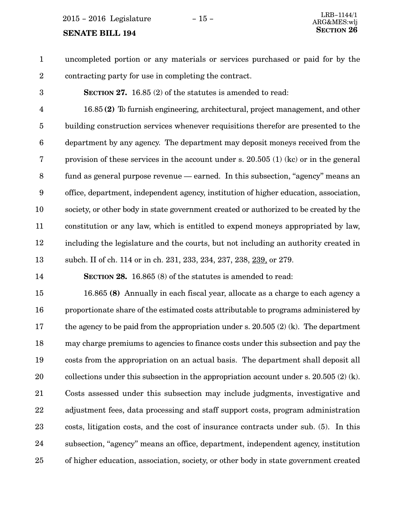$2015 - 2016$  Legislature  $-15 -$ 

#### **SENATE BILL 194**

uncompleted portion or any materials or services purchased or paid for by the contracting party for use in completing the contract. 1 2

3

SECTION 27. 16.85 (2) of the statutes is amended to read:

16.85 (2) To furnish engineering, architectural, project management, and other building construction services whenever requisitions therefor are presented to the department by any agency. The department may deposit moneys received from the provision of these services in the account under s. 20.505 (1) (kc) or in the general fund as general purpose revenue  $-$  earned. In this subsection, "agency" means an office, department, independent agency, institution of higher education, association, society, or other body in state government created or authorized to be created by the constitution or any law, which is entitled to expend moneys appropriated by law, including the legislature and the courts, but not including an authority created in subch. II of ch. 114 or in ch. 231, 233, 234, 237, 238, 239, or 279. 4 5 6 7 8 9 10 11 12 13

14

SECTION 28. 16.865 (8) of the statutes is amended to read:

16.865 (8) Annually in each fiscal year, allocate as a charge to each agency a proportionate share of the estimated costs attributable to programs administered by the agency to be paid from the appropriation under s. 20.505 (2) (k). The department may charge premiums to agencies to finance costs under this subsection and pay the costs from the appropriation on an actual basis. The department shall deposit all collections under this subsection in the appropriation account under s. 20.505 (2) (k). Costs assessed under this subsection may include judgments, investigative and adjustment fees, data processing and staff support costs, program administration costs, litigation costs, and the cost of insurance contracts under sub. (5). In this subsection, "agency" means an office, department, independent agency, institution of higher education, association, society, or other body in state government created 15 16 17 18 19 20 21 22 23 24 25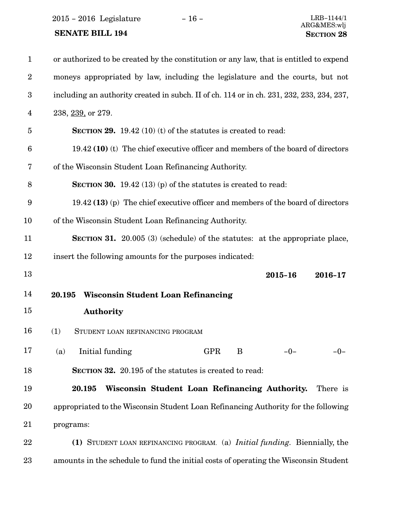2015 − 2016 Legislature − 16 − LRB−1144/1

### SENATE BILL 194 SECTION 28

| $\mathbf{1}$   | or authorized to be created by the constitution or any law, that is entitled to expend    |
|----------------|-------------------------------------------------------------------------------------------|
| $\overline{2}$ | moneys appropriated by law, including the legislature and the courts, but not             |
| 3              | including an authority created in subch. II of ch. 114 or in ch. 231, 232, 233, 234, 237, |
| 4              | 238, 239, or 279.                                                                         |
| $\overline{5}$ | <b>SECTION 29.</b> 19.42 (10) (t) of the statutes is created to read:                     |
| 6              | $19.42$ (10) (t) The chief executive officer and members of the board of directors        |
| 7              | of the Wisconsin Student Loan Refinancing Authority.                                      |
| 8              | <b>SECTION 30.</b> 19.42 (13) (p) of the statutes is created to read:                     |
| 9              | 19.42 $(13)$ (p) The chief executive officer and members of the board of directors        |
| 10             | of the Wisconsin Student Loan Refinancing Authority.                                      |
| 11             | <b>SECTION 31.</b> 20.005 (3) (schedule) of the statutes: at the appropriate place,       |
| 12             | insert the following amounts for the purposes indicated:                                  |
| 13             | 2016-17<br>2015-16                                                                        |
| 14             | <b>Wisconsin Student Loan Refinancing</b><br>20.195                                       |
| 15             | Authority                                                                                 |
| 16             | (1)<br>STUDENT LOAN REFINANCING PROGRAM                                                   |
| 17             | Initial funding<br><b>GPR</b><br>B<br>$-0-$<br>(a)<br>$-0-$                               |
| 18             | <b>SECTION 32.</b> 20.195 of the statutes is created to read:                             |
| 19             | Wisconsin Student Loan Refinancing Authority.<br>20.195<br>There is                       |
| 20             | appropriated to the Wisconsin Student Loan Refinancing Authority for the following        |
| 21             | programs:                                                                                 |
| 22             | (1) STUDENT LOAN REFINANCING PROGRAM. (a) <i>Initial funding</i> . Biennially, the        |
| 23             | amounts in the schedule to fund the initial costs of operating the Wisconsin Student      |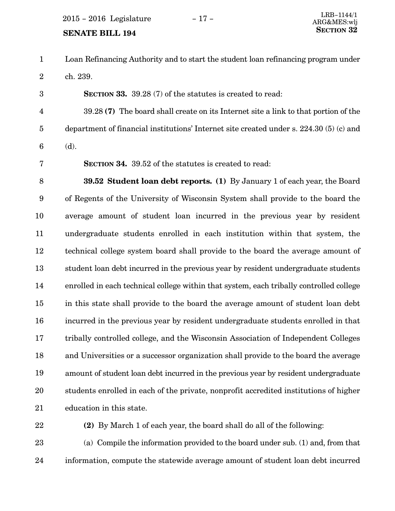# SENATE BILL 194 SECTION 32

Loan Refinancing Authority and to start the student loan refinancing program under ch. 239. 1 2

SECTION 33. 39.28 (7) of the statutes is created to read: 39.28 (7) The board shall create on its Internet site a link to that portion of the department of financial institutions' Internet site created under s. 224.30 (5) (c) and (d). 3 4 5 6

7

SECTION 34. 39.52 of the statutes is created to read:

39.52 Student loan debt reports. (1) By January 1 of each year, the Board of Regents of the University of Wisconsin System shall provide to the board the average amount of student loan incurred in the previous year by resident undergraduate students enrolled in each institution within that system, the technical college system board shall provide to the board the average amount of student loan debt incurred in the previous year by resident undergraduate students enrolled in each technical college within that system, each tribally controlled college in this state shall provide to the board the average amount of student loan debt incurred in the previous year by resident undergraduate students enrolled in that tribally controlled college, and the Wisconsin Association of Independent Colleges and Universities or a successor organization shall provide to the board the average amount of student loan debt incurred in the previous year by resident undergraduate students enrolled in each of the private, nonprofit accredited institutions of higher education in this state. 8 9 10 11 12 13 14 15 16 17 18 19 20 21

22

(2) By March 1 of each year, the board shall do all of the following:

(a) Compile the information provided to the board under sub. (1) and, from that information, compute the statewide average amount of student loan debt incurred 23 24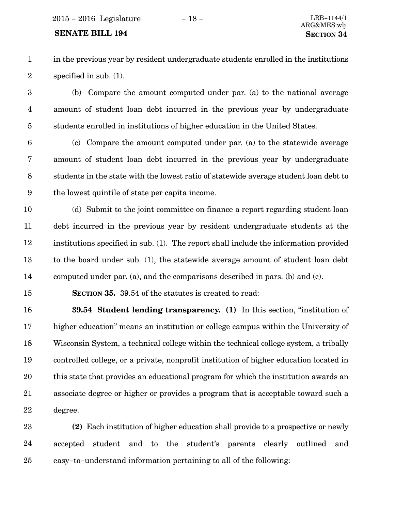### SENATE BILL 194 SECTION 34

in the previous year by resident undergraduate students enrolled in the institutions specified in sub. (1). 1 2

(b) Compare the amount computed under par. (a) to the national average amount of student loan debt incurred in the previous year by undergraduate students enrolled in institutions of higher education in the United States. 3 4 5

(c) Compare the amount computed under par. (a) to the statewide average amount of student loan debt incurred in the previous year by undergraduate students in the state with the lowest ratio of statewide average student loan debt to the lowest quintile of state per capita income. 6 7 8 9

(d) Submit to the joint committee on finance a report regarding student loan debt incurred in the previous year by resident undergraduate students at the institutions specified in sub. (1). The report shall include the information provided to the board under sub. (1), the statewide average amount of student loan debt computed under par. (a), and the comparisons described in pars. (b) and (c). 10 11 12 13 14

15

SECTION 35. 39.54 of the statutes is created to read:

**39.54 Student lending transparency.** (1) In this section, "institution of higher education" means an institution or college campus within the University of Wisconsin System, a technical college within the technical college system, a tribally controlled college, or a private, nonprofit institution of higher education located in this state that provides an educational program for which the institution awards an associate degree or higher or provides a program that is acceptable toward such a degree. 16 17 18 19 20 21 22

(2) Each institution of higher education shall provide to a prospective or newly accepted student and to the student's parents clearly outlined and easy−to−understand information pertaining to all of the following: 23 24 25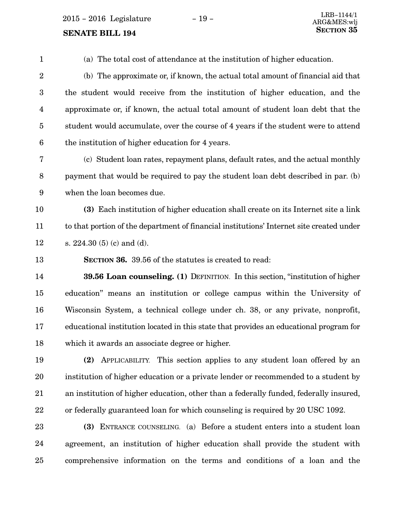$2015 - 2016$  Legislature  $-19 -$ 

#### **SENATE BILL 194**

(a) The total cost of attendance at the institution of higher education. (b) The approximate or, if known, the actual total amount of financial aid that the student would receive from the institution of higher education, and the approximate or, if known, the actual total amount of student loan debt that the student would accumulate, over the course of 4 years if the student were to attend the institution of higher education for 4 years. (c) Student loan rates, repayment plans, default rates, and the actual monthly payment that would be required to pay the student loan debt described in par. (b) when the loan becomes due. (3) Each institution of higher education shall create on its Internet site a link to that portion of the department of financial institutions' Internet site created under s. 224.30 (5) (c) and (d). SECTION 36. 39.56 of the statutes is created to read: 39.56 Loan counseling. (1) DEFINITION. In this section, "institution of higher 1 2 3 4 5 6 7 8 9 10 11 12 13 14

education" means an institution or college campus within the University of Wisconsin System, a technical college under ch. 38, or any private, nonprofit, educational institution located in this state that provides an educational program for which it awards an associate degree or higher. 15 16 17 18

(2) APPLICABILITY. This section applies to any student loan offered by an institution of higher education or a private lender or recommended to a student by an institution of higher education, other than a federally funded, federally insured, or federally guaranteed loan for which counseling is required by 20 USC 1092. 19 20 21 22

(3) ENTRANCE COUNSELING. (a) Before a student enters into a student loan agreement, an institution of higher education shall provide the student with comprehensive information on the terms and conditions of a loan and the 23 24 25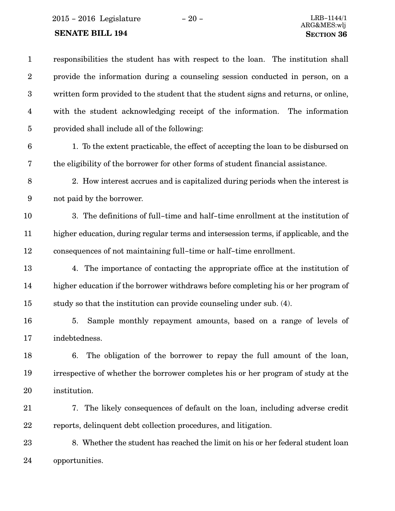2015 − 2016 Legislature − 20 − LRB−1144/1

### SENATE BILL 194 SECTION 36

responsibilities the student has with respect to the loan. The institution shall provide the information during a counseling session conducted in person, on a written form provided to the student that the student signs and returns, or online, with the student acknowledging receipt of the information. The information provided shall include all of the following: 1. To the extent practicable, the effect of accepting the loan to be disbursed on the eligibility of the borrower for other forms of student financial assistance. 2. How interest accrues and is capitalized during periods when the interest is not paid by the borrower. 3. The definitions of full−time and half−time enrollment at the institution of higher education, during regular terms and intersession terms, if applicable, and the consequences of not maintaining full−time or half−time enrollment. 4. The importance of contacting the appropriate office at the institution of higher education if the borrower withdraws before completing his or her program of study so that the institution can provide counseling under sub. (4). 5. Sample monthly repayment amounts, based on a range of levels of indebtedness. 6. The obligation of the borrower to repay the full amount of the loan, irrespective of whether the borrower completes his or her program of study at the institution. 7. The likely consequences of default on the loan, including adverse credit reports, delinquent debt collection procedures, and litigation. 8. Whether the student has reached the limit on his or her federal student loan opportunities. 1 2 3 4 5 6 7 8 9 10 11 12 13 14 15 16 17 18 19 20 21 22 23 24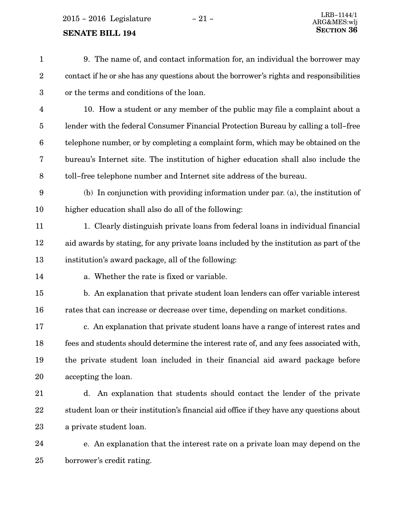2015 – 2016 Legislature – 21 –

### **SENATE BILL 194**

| $\mathbf{1}$     | 9. The name of, and contact information for, an individual the borrower may               |
|------------------|-------------------------------------------------------------------------------------------|
| $\boldsymbol{2}$ | contact if he or she has any questions about the borrower's rights and responsibilities   |
| 3                | or the terms and conditions of the loan.                                                  |
| 4                | 10. How a student or any member of the public may file a complaint about a                |
| $\overline{5}$   | lender with the federal Consumer Financial Protection Bureau by calling a toll-free       |
| $6\phantom{.}6$  | telephone number, or by completing a complaint form, which may be obtained on the         |
| 7                | bureau's Internet site. The institution of higher education shall also include the        |
| 8                | toll-free telephone number and Internet site address of the bureau.                       |
| 9                | (b) In conjunction with providing information under par. (a), the institution of          |
| 10               | higher education shall also do all of the following:                                      |
| 11               | 1. Clearly distinguish private loans from federal loans in individual financial           |
| 12               | aid awards by stating, for any private loans included by the institution as part of the   |
| 13               | institution's award package, all of the following:                                        |
| 14               | a. Whether the rate is fixed or variable.                                                 |
| 15               | b. An explanation that private student loan lenders can offer variable interest           |
| 16               | rates that can increase or decrease over time, depending on market conditions.            |
| 17               | c. An explanation that private student loans have a range of interest rates and           |
| 18               | fees and students should determine the interest rate of, and any fees associated with,    |
| 19               | the private student loan included in their financial aid award package before             |
| 20               | accepting the loan.                                                                       |
| 21               | An explanation that students should contact the lender of the private<br>d.               |
| 22               | student loan or their institution's financial aid office if they have any questions about |
| 23               | a private student loan.                                                                   |
| $\Omega$         | n evolenction that the interact rate on a private leap may depend on the                  |

e. An explanation that the interest rate on a private loan may depend on the borrower's credit rating. 24 25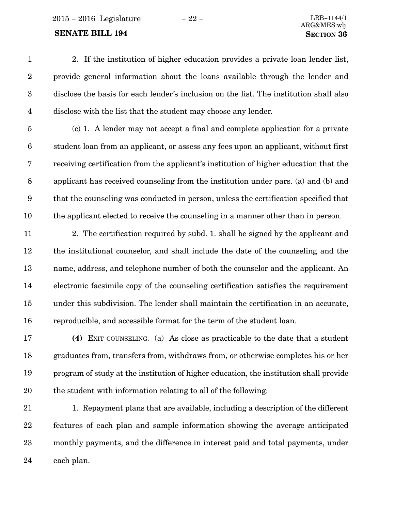2015 − 2016 Legislature − 22 − LRB−1144/1

### SENATE BILL 194 SECTION 36

2. If the institution of higher education provides a private loan lender list, provide general information about the loans available through the lender and disclose the basis for each lender's inclusion on the list. The institution shall also disclose with the list that the student may choose any lender. 1 2 3 4

(c) 1. A lender may not accept a final and complete application for a private student loan from an applicant, or assess any fees upon an applicant, without first receiving certification from the applicant's institution of higher education that the applicant has received counseling from the institution under pars. (a) and (b) and that the counseling was conducted in person, unless the certification specified that the applicant elected to receive the counseling in a manner other than in person. 5 6 7 8 9 10

2. The certification required by subd. 1. shall be signed by the applicant and the institutional counselor, and shall include the date of the counseling and the name, address, and telephone number of both the counselor and the applicant. An electronic facsimile copy of the counseling certification satisfies the requirement under this subdivision. The lender shall maintain the certification in an accurate, reproducible, and accessible format for the term of the student loan. 11 12 13 14 15 16

(4) EXIT COUNSELING. (a) As close as practicable to the date that a student graduates from, transfers from, withdraws from, or otherwise completes his or her program of study at the institution of higher education, the institution shall provide the student with information relating to all of the following: 17 18 19 20

1. Repayment plans that are available, including a description of the different features of each plan and sample information showing the average anticipated monthly payments, and the difference in interest paid and total payments, under each plan. 21 22 23 24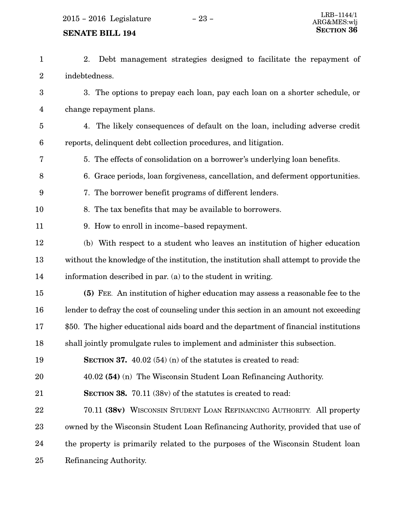2015 – 2016 Legislature − 23 –

## **SENATE BILL 194**

| $\mathbf{1}$     | Debt management strategies designed to facilitate the repayment of<br>2.               |
|------------------|----------------------------------------------------------------------------------------|
| $\boldsymbol{2}$ | indebtedness.                                                                          |
| $\boldsymbol{3}$ | 3. The options to prepay each loan, pay each loan on a shorter schedule, or            |
| $\overline{4}$   | change repayment plans.                                                                |
| $\overline{5}$   | 4. The likely consequences of default on the loan, including adverse credit            |
| 6                | reports, delinquent debt collection procedures, and litigation.                        |
| 7                | 5. The effects of consolidation on a borrower's underlying loan benefits.              |
| 8                | 6. Grace periods, loan forgiveness, cancellation, and deferment opportunities.         |
| 9                | 7. The borrower benefit programs of different lenders.                                 |
| 10               | 8. The tax benefits that may be available to borrowers.                                |
| 11               | 9. How to enroll in income-based repayment.                                            |
| 12               | (b) With respect to a student who leaves an institution of higher education            |
| 13               | without the knowledge of the institution, the institution shall attempt to provide the |
| 14               | information described in par. (a) to the student in writing.                           |
| 15               | (5) FEE. An institution of higher education may assess a reasonable fee to the         |
| 16               | lender to defray the cost of counseling under this section in an amount not exceeding  |
| 17               | \$50. The higher educational aids board and the department of financial institutions   |
| 18               | shall jointly promulgate rules to implement and administer this subsection.            |
| 19               | SECTION 37. $40.02(54)(n)$ of the statutes is created to read:                         |
| 20               | 40.02 (54) (n) The Wisconsin Student Loan Refinancing Authority.                       |
| 21               | <b>SECTION 38.</b> 70.11 (38v) of the statutes is created to read:                     |
| 22               | 70.11 (38v) WISCONSIN STUDENT LOAN REFINANCING AUTHORITY. All property                 |
| 23               | owned by the Wisconsin Student Loan Refinancing Authority, provided that use of        |
| 24               | the property is primarily related to the purposes of the Wisconsin Student loan        |
| 25               | Refinancing Authority.                                                                 |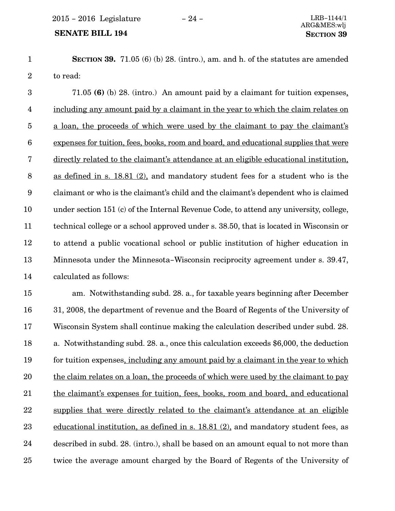2015 − 2016 Legislature − 24 − LRB−1144/1

#### SENATE BILL 194 SECTION 39

SECTION 39. 71.05 (6) (b) 28. (intro.), am. and h. of the statutes are amended to read: 1 2

71.05 (6) (b) 28. (intro.) An amount paid by a claimant for tuition expenses, including any amount paid by a claimant in the year to which the claim relates on a loan, the proceeds of which were used by the claimant to pay the claimant's expenses for tuition, fees, books, room and board, and educational supplies that were directly related to the claimant's attendance at an eligible educational institution, as defined in s. 18.81 (2), and mandatory student fees for a student who is the claimant or who is the claimant's child and the claimant's dependent who is claimed under section 151 (c) of the Internal Revenue Code, to attend any university, college, technical college or a school approved under s. 38.50, that is located in Wisconsin or to attend a public vocational school or public institution of higher education in Minnesota under the Minnesota−Wisconsin reciprocity agreement under s. 39.47, calculated as follows: 3 4 5 6 7 8 9 10 11 12 13 14

am. Notwithstanding subd. 28. a., for taxable years beginning after December 31, 2008, the department of revenue and the Board of Regents of the University of Wisconsin System shall continue making the calculation described under subd. 28. a. Notwithstanding subd. 28. a., once this calculation exceeds \$6,000, the deduction for tuition expenses, including any amount paid by a claimant in the year to which the claim relates on a loan, the proceeds of which were used by the claimant to pay the claimant's expenses for tuition, fees, books, room and board, and educational supplies that were directly related to the claimant's attendance at an eligible educational institution, as defined in s. 18.81 (2), and mandatory student fees, as described in subd. 28. (intro.), shall be based on an amount equal to not more than twice the average amount charged by the Board of Regents of the University of 15 16 17 18 19 20 21 22 23 24 25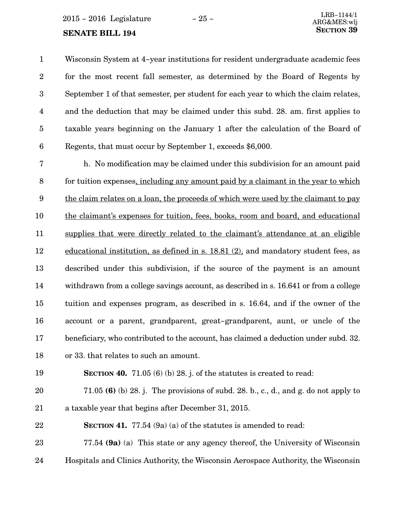$2015 - 2016$  Legislature  $-25 -$ <br>ABC MES-

#### **SENATE BILL 194**

Wisconsin System at 4−year institutions for resident undergraduate academic fees for the most recent fall semester, as determined by the Board of Regents by September 1 of that semester, per student for each year to which the claim relates, and the deduction that may be claimed under this subd. 28. am. first applies to taxable years beginning on the January 1 after the calculation of the Board of Regents, that must occur by September 1, exceeds \$6,000. 1 2 3 4 5 6

h. No modification may be claimed under this subdivision for an amount paid for tuition expenses, including any amount paid by a claimant in the year to which the claim relates on a loan, the proceeds of which were used by the claimant to pay the claimant's expenses for tuition, fees, books, room and board, and educational supplies that were directly related to the claimant's attendance at an eligible educational institution, as defined in s. 18.81 (2), and mandatory student fees, as described under this subdivision, if the source of the payment is an amount withdrawn from a college savings account, as described in s. 16.641 or from a college tuition and expenses program, as described in s. 16.64, and if the owner of the account or a parent, grandparent, great−grandparent, aunt, or uncle of the beneficiary, who contributed to the account, has claimed a deduction under subd. 32. or 33. that relates to such an amount. 7 8 9 10 11 12 13 14 15 16 17 18

#### SECTION 40. 71.05 (6) (b) 28. j. of the statutes is created to read: 19

- 71.05 (6) (b) 28. j. The provisions of subd. 28. b., c., d., and g. do not apply to a taxable year that begins after December 31, 2015. 20 21
- SECTION 41. 77.54 (9a) (a) of the statutes is amended to read: 22

77.54 (9a) (a) This state or any agency thereof, the University of Wisconsin Hospitals and Clinics Authority, the Wisconsin Aerospace Authority, the Wisconsin 23 24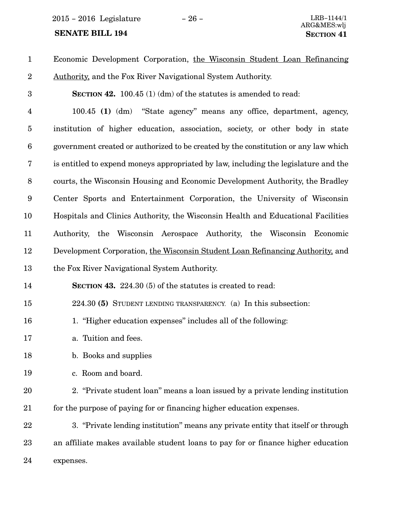2015 − 2016 Legislature − 26 − LRB−1144/1

## **SENATE BILL 194**

| $\mathbf{1}$     | Economic Development Corporation, the Wisconsin Student Loan Refinancing            |
|------------------|-------------------------------------------------------------------------------------|
| $\overline{2}$   | <b>Authority</b> , and the Fox River Navigational System Authority.                 |
| 3                | <b>SECTION 42.</b> 100.45 (1) (dm) of the statutes is amended to read:              |
| $\overline{4}$   | 100.45 (1) (dm) "State agency" means any office, department, agency,                |
| $\overline{5}$   | institution of higher education, association, society, or other body in state       |
| $6\phantom{.}6$  | government created or authorized to be created by the constitution or any law which |
| 7                | is entitled to expend moneys appropriated by law, including the legislature and the |
| 8                | courts, the Wisconsin Housing and Economic Development Authority, the Bradley       |
| $\boldsymbol{9}$ | Center Sports and Entertainment Corporation, the University of Wisconsin            |
| 10               | Hospitals and Clinics Authority, the Wisconsin Health and Educational Facilities    |
| 11               | Authority, the Wisconsin Aerospace Authority, the Wisconsin Economic                |
| 12               | Development Corporation, the Wisconsin Student Loan Refinancing Authority, and      |
| 13               | the Fox River Navigational System Authority.                                        |
| 14               | <b>SECTION 43.</b> 224.30 (5) of the statutes is created to read:                   |
| 15               | 224.30 (5) STUDENT LENDING TRANSPARENCY. (a) In this subsection:                    |
| 16               | 1. "Higher education expenses" includes all of the following:                       |
| 17               | a. Tuition and fees.                                                                |
| 18               | b. Books and supplies                                                               |
| 19               | c. Room and board.                                                                  |
| 20               | 2. "Private student loan" means a loan issued by a private lending institution      |
| 21               | for the purpose of paying for or financing higher education expenses.               |
| 22               | 3. "Private lending institution" means any private entity that itself or through    |
| 23               | an affiliate makes available student loans to pay for or finance higher education   |
| 24               | expenses.                                                                           |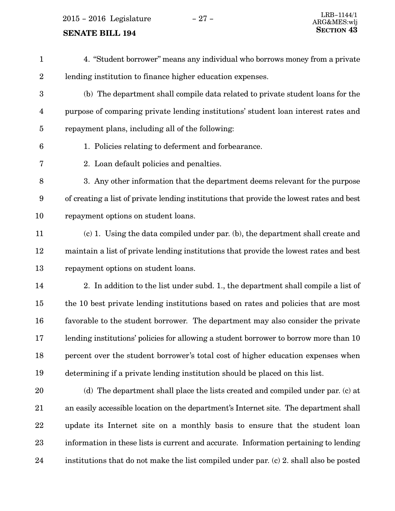$2015 - 2016$  Legislature  $-27 -$ 

# SENATE BILL 194 SECTION 43

4. Student borrower" means any individual who borrows money from a private lending institution to finance higher education expenses. (b) The department shall compile data related to private student loans for the purpose of comparing private lending institutions' student loan interest rates and repayment plans, including all of the following: 1. Policies relating to deferment and forbearance. 2. Loan default policies and penalties. 3. Any other information that the department deems relevant for the purpose of creating a list of private lending institutions that provide the lowest rates and best repayment options on student loans. (c) 1. Using the data compiled under par. (b), the department shall create and maintain a list of private lending institutions that provide the lowest rates and best repayment options on student loans. 2. In addition to the list under subd. 1., the department shall compile a list of the 10 best private lending institutions based on rates and policies that are most favorable to the student borrower. The department may also consider the private lending institutions' policies for allowing a student borrower to borrow more than 10 percent over the student borrower's total cost of higher education expenses when determining if a private lending institution should be placed on this list. (d) The department shall place the lists created and compiled under par. (c) at an easily accessible location on the department's Internet site. The department shall update its Internet site on a monthly basis to ensure that the student loan information in these lists is current and accurate. Information pertaining to lending 1 2 3 4 5 6 7 8 9 10 11 12 13 14 15 16 17 18 19 20 21 22 23

institutions that do not make the list compiled under par. (c) 2. shall also be posted 24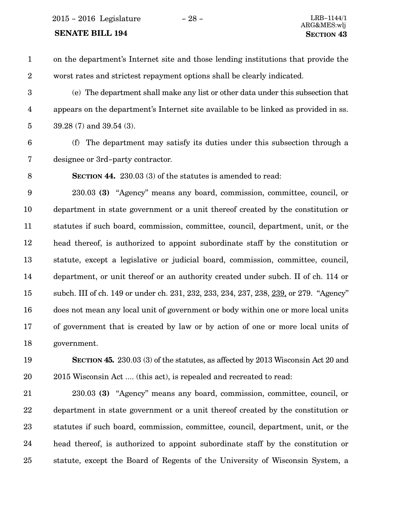2015 − 2016 Legislature − 28 − LRB−1144/1

#### SENATE BILL 194 SECTION 43

on the department's Internet site and those lending institutions that provide the worst rates and strictest repayment options shall be clearly indicated. (e) The department shall make any list or other data under this subsection that appears on the department's Internet site available to be linked as provided in ss. 39.28 (7) and 39.54 (3). (f) The department may satisfy its duties under this subsection through a designee or 3rd−party contractor. SECTION 44. 230.03 (3) of the statutes is amended to read: 230.03 (3) "Agency" means any board, commission, committee, council, or department in state government or a unit thereof created by the constitution or statutes if such board, commission, committee, council, department, unit, or the head thereof, is authorized to appoint subordinate staff by the constitution or statute, except a legislative or judicial board, commission, committee, council, department, or unit thereof or an authority created under subch. II of ch. 114 or subch. III of ch. 149 or under ch. 231, 232, 233, 234, 237, 238, 239, or 279. "Agency" does not mean any local unit of government or body within one or more local units of government that is created by law or by action of one or more local units of government. SECTION 45. 230.03 (3) of the statutes, as affected by 2013 Wisconsin Act 20 and 2015 Wisconsin Act .... (this act), is repealed and recreated to read: 1 2 3 4 5 6 7 8 9 10 11 12 13 14 15 16 17 18 19 20

230.03 (3) "Agency" means any board, commission, committee, council, or department in state government or a unit thereof created by the constitution or statutes if such board, commission, committee, council, department, unit, or the head thereof, is authorized to appoint subordinate staff by the constitution or statute, except the Board of Regents of the University of Wisconsin System, a 21 22 23 24 25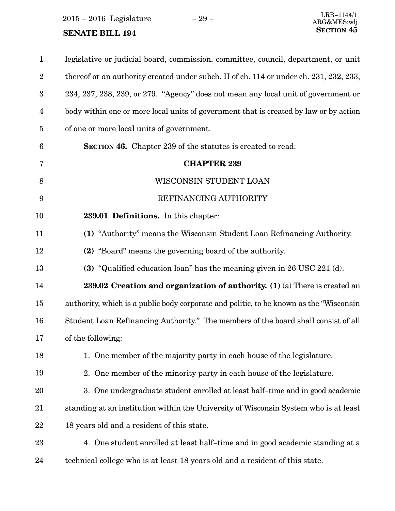$2015 - 2016$  Legislature  $-29 -$ 

**SENATE BILL 194** 

| $\mathbf{1}$            | legislative or judicial board, commission, committee, council, department, or unit     |
|-------------------------|----------------------------------------------------------------------------------------|
| $\boldsymbol{2}$        | thereof or an authority created under subch. II of ch. 114 or under ch. 231, 232, 233, |
| $\boldsymbol{3}$        | 234, 237, 238, 239, or 279. "Agency" does not mean any local unit of government or     |
| $\overline{\mathbf{4}}$ | body within one or more local units of government that is created by law or by action  |
| $\overline{5}$          | of one or more local units of government.                                              |
| $\boldsymbol{6}$        | <b>SECTION 46.</b> Chapter 239 of the statutes is created to read:                     |
| 7                       | <b>CHAPTER 239</b>                                                                     |
| 8                       | WISCONSIN STUDENT LOAN                                                                 |
| 9                       | REFINANCING AUTHORITY                                                                  |
| 10                      | 239.01 Definitions. In this chapter:                                                   |
| 11                      | (1) "Authority" means the Wisconsin Student Loan Refinancing Authority.                |
| 12                      | (2) "Board" means the governing board of the authority.                                |
| 13                      | (3) "Qualified education loan" has the meaning given in 26 USC 221 (d).                |
| 14                      | 239.02 Creation and organization of authority. $(1)$ (a) There is created an           |
| 15                      | authority, which is a public body corporate and politic, to be known as the "Wisconsin |
| 16                      | Student Loan Refinancing Authority." The members of the board shall consist of all     |
| 17                      | of the following:                                                                      |
| 18                      | 1. One member of the majority party in each house of the legislature.                  |
| 19                      | 2. One member of the minority party in each house of the legislature.                  |
| 20                      | 3. One undergraduate student enrolled at least half-time and in good academic          |
| 21                      | standing at an institution within the University of Wisconsin System who is at least   |
| 22                      | 18 years old and a resident of this state.                                             |
| 23                      | 4. One student enrolled at least half-time and in good academic standing at a          |
| 24                      | technical college who is at least 18 years old and a resident of this state.           |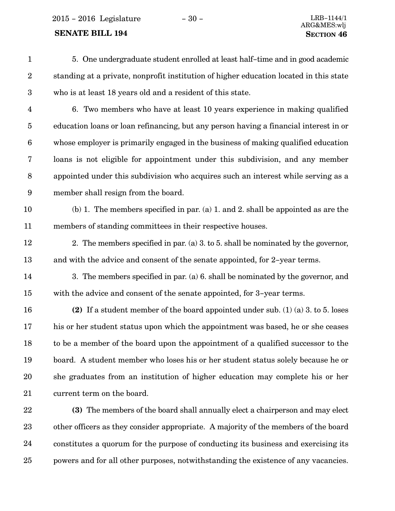2015 − 2016 Legislature − 30 − LRB−1144/1

### SENATE BILL 194 SECTION 46

5. One undergraduate student enrolled at least half−time and in good academic standing at a private, nonprofit institution of higher education located in this state who is at least 18 years old and a resident of this state. 6. Two members who have at least 10 years experience in making qualified education loans or loan refinancing, but any person having a financial interest in or whose employer is primarily engaged in the business of making qualified education 1 2 3 4 5 6

loans is not eligible for appointment under this subdivision, and any member appointed under this subdivision who acquires such an interest while serving as a member shall resign from the board. 7 8 9

(b) 1. The members specified in par. (a) 1. and 2. shall be appointed as are the members of standing committees in their respective houses. 10 11

- 2. The members specified in par. (a) 3. to 5. shall be nominated by the governor, and with the advice and consent of the senate appointed, for 2−year terms. 12 13
- 3. The members specified in par. (a) 6. shall be nominated by the governor, and with the advice and consent of the senate appointed, for 3−year terms. 14 15

(2) If a student member of the board appointed under sub. (1) (a) 3. to 5. loses his or her student status upon which the appointment was based, he or she ceases to be a member of the board upon the appointment of a qualified successor to the board. A student member who loses his or her student status solely because he or she graduates from an institution of higher education may complete his or her current term on the board. 16 17 18 19 20 21

(3) The members of the board shall annually elect a chairperson and may elect other officers as they consider appropriate. A majority of the members of the board constitutes a quorum for the purpose of conducting its business and exercising its powers and for all other purposes, notwithstanding the existence of any vacancies. 22 23 24 25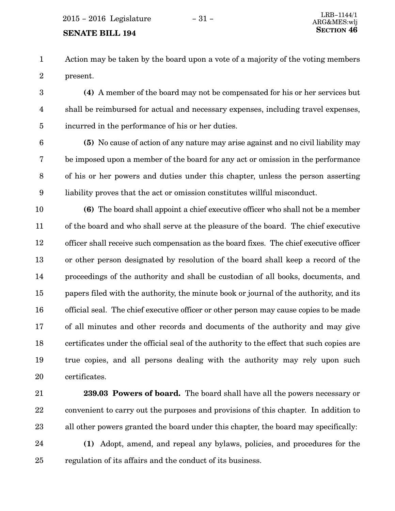# SENATE BILL 194 SECTION 46

- Action may be taken by the board upon a vote of a majority of the voting members present. 1 2
- (4) A member of the board may not be compensated for his or her services but shall be reimbursed for actual and necessary expenses, including travel expenses, incurred in the performance of his or her duties. 3 4 5
- (5) No cause of action of any nature may arise against and no civil liability may be imposed upon a member of the board for any act or omission in the performance of his or her powers and duties under this chapter, unless the person asserting liability proves that the act or omission constitutes willful misconduct. 6 7 8 9

(6) The board shall appoint a chief executive officer who shall not be a member of the board and who shall serve at the pleasure of the board. The chief executive officer shall receive such compensation as the board fixes. The chief executive officer or other person designated by resolution of the board shall keep a record of the proceedings of the authority and shall be custodian of all books, documents, and papers filed with the authority, the minute book or journal of the authority, and its official seal. The chief executive officer or other person may cause copies to be made of all minutes and other records and documents of the authority and may give certificates under the official seal of the authority to the effect that such copies are true copies, and all persons dealing with the authority may rely upon such certificates. 10 11 12 13 14 15 16 17 18 19 20

- 239.03 Powers of board. The board shall have all the powers necessary or convenient to carry out the purposes and provisions of this chapter. In addition to all other powers granted the board under this chapter, the board may specifically: 21 22 23
- (1) Adopt, amend, and repeal any bylaws, policies, and procedures for the regulation of its affairs and the conduct of its business. 24 25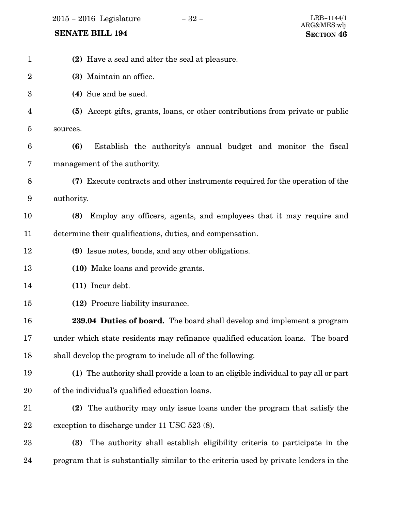2015 − 2016 Legislature − 32 − LRB−1144/1

## **SENATE BILL 194**

| $\mathbf{1}$     | (2) Have a seal and alter the seal at pleasure.                                      |
|------------------|--------------------------------------------------------------------------------------|
| $\boldsymbol{2}$ | (3) Maintain an office.                                                              |
| 3                | (4) Sue and be sued.                                                                 |
| 4                | (5) Accept gifts, grants, loans, or other contributions from private or public       |
| 5                | sources.                                                                             |
| 6                | Establish the authority's annual budget and monitor the fiscal<br>(6)                |
| 7                | management of the authority.                                                         |
| 8                | (7) Execute contracts and other instruments required for the operation of the        |
| 9                | authority.                                                                           |
| 10               | Employ any officers, agents, and employees that it may require and<br>(8)            |
| 11               | determine their qualifications, duties, and compensation.                            |
| 12               | (9) Issue notes, bonds, and any other obligations.                                   |
| 13               | (10) Make loans and provide grants.                                                  |
| 14               | (11) Incur debt.                                                                     |
| 15               | (12) Procure liability insurance.                                                    |
| 16               | 239.04 Duties of board. The board shall develop and implement a program              |
| 17               | under which state residents may refinance qualified education loans. The board       |
| 18               | shall develop the program to include all of the following:                           |
| 19               | (1) The authority shall provide a loan to an eligible individual to pay all or part  |
| 20               | of the individual's qualified education loans.                                       |
| 21               | (2) The authority may only issue loans under the program that satisfy the            |
| 22               | exception to discharge under 11 USC 523 (8).                                         |
| 23               | The authority shall establish eligibility criteria to participate in the<br>(3)      |
| 24               | program that is substantially similar to the criteria used by private lenders in the |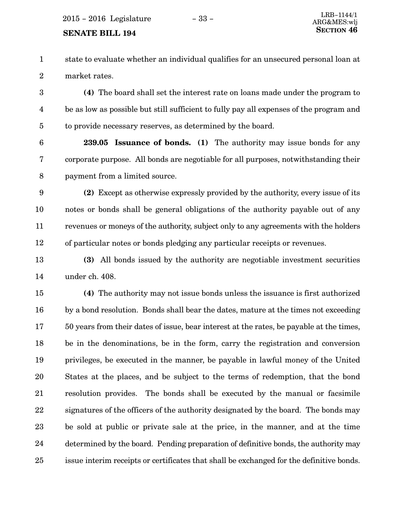# SENATE BILL 194 SECTION 46

state to evaluate whether an individual qualifies for an unsecured personal loan at market rates. 1 2

(4) The board shall set the interest rate on loans made under the program to be as low as possible but still sufficient to fully pay all expenses of the program and to provide necessary reserves, as determined by the board. 3 4 5

239.05 Issuance of bonds. (1) The authority may issue bonds for any corporate purpose. All bonds are negotiable for all purposes, notwithstanding their payment from a limited source. 6 7 8

(2) Except as otherwise expressly provided by the authority, every issue of its notes or bonds shall be general obligations of the authority payable out of any revenues or moneys of the authority, subject only to any agreements with the holders of particular notes or bonds pledging any particular receipts or revenues. 9 10 11 12

(3) All bonds issued by the authority are negotiable investment securities under ch. 408. 13 14

(4) The authority may not issue bonds unless the issuance is first authorized by a bond resolution. Bonds shall bear the dates, mature at the times not exceeding 50 years from their dates of issue, bear interest at the rates, be payable at the times, be in the denominations, be in the form, carry the registration and conversion privileges, be executed in the manner, be payable in lawful money of the United States at the places, and be subject to the terms of redemption, that the bond resolution provides. The bonds shall be executed by the manual or facsimile signatures of the officers of the authority designated by the board. The bonds may be sold at public or private sale at the price, in the manner, and at the time determined by the board. Pending preparation of definitive bonds, the authority may issue interim receipts or certificates that shall be exchanged for the definitive bonds. 15 16 17 18 19 20 21 22 23 24 25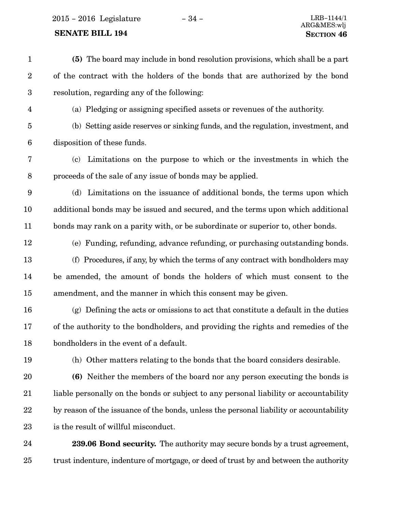2015 − 2016 Legislature − 34 − LRB−1144/1

### SENATE BILL 194 SECTION 46

| $\mathbf{1}$            | (5) The board may include in bond resolution provisions, which shall be a part          |
|-------------------------|-----------------------------------------------------------------------------------------|
| $\sqrt{2}$              | of the contract with the holders of the bonds that are authorized by the bond           |
| $\boldsymbol{3}$        | resolution, regarding any of the following:                                             |
| $\overline{\mathbf{4}}$ | (a) Pledging or assigning specified assets or revenues of the authority.                |
| $\overline{5}$          | (b) Setting aside reserves or sinking funds, and the regulation, investment, and        |
| $6\phantom{.}6$         | disposition of these funds.                                                             |
| 7                       | (c) Limitations on the purpose to which or the investments in which the                 |
| $\, 8$                  | proceeds of the sale of any issue of bonds may be applied.                              |
| $\boldsymbol{9}$        | (d) Limitations on the issuance of additional bonds, the terms upon which               |
| 10                      | additional bonds may be issued and secured, and the terms upon which additional         |
| 11                      | bonds may rank on a parity with, or be subordinate or superior to, other bonds.         |
| 12                      | (e) Funding, refunding, advance refunding, or purchasing outstanding bonds.             |
| 13                      | (f) Procedures, if any, by which the terms of any contract with bondholders may         |
| 14                      | be amended, the amount of bonds the holders of which must consent to the                |
| 15                      | amendment, and the manner in which this consent may be given.                           |
| 16                      | $(g)$ Defining the acts or omissions to act that constitute a default in the duties     |
| 17                      | of the authority to the bondholders, and providing the rights and remedies of the       |
| 18                      | bondholders in the event of a default.                                                  |
| 19                      | (h) Other matters relating to the bonds that the board considers desirable.             |
| 20                      | (6) Neither the members of the board nor any person executing the bonds is              |
| 21                      | liable personally on the bonds or subject to any personal liability or accountability   |
| 22                      | by reason of the issuance of the bonds, unless the personal liability or accountability |
| 23                      | is the result of willful misconduct.                                                    |
| 24                      | <b>239.06 Bond security.</b> The authority may secure bonds by a trust agreement,       |

trust indenture, indenture of mortgage, or deed of trust by and between the authority 25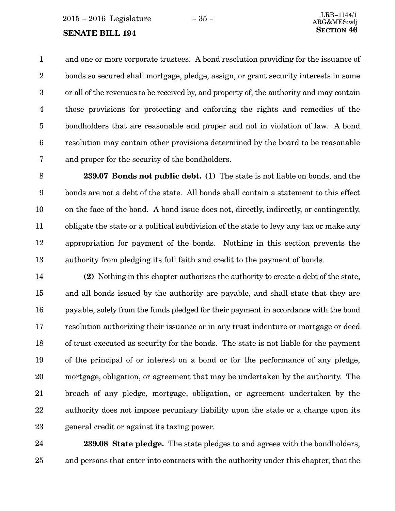# SENATE BILL 194 SECTION 46

and one or more corporate trustees. A bond resolution providing for the issuance of bonds so secured shall mortgage, pledge, assign, or grant security interests in some or all of the revenues to be received by, and property of, the authority and may contain those provisions for protecting and enforcing the rights and remedies of the bondholders that are reasonable and proper and not in violation of law. A bond resolution may contain other provisions determined by the board to be reasonable and proper for the security of the bondholders. 1 2 3 4 5 6 7

239.07 Bonds not public debt. (1) The state is not liable on bonds, and the bonds are not a debt of the state. All bonds shall contain a statement to this effect on the face of the bond. A bond issue does not, directly, indirectly, or contingently, obligate the state or a political subdivision of the state to levy any tax or make any appropriation for payment of the bonds. Nothing in this section prevents the authority from pledging its full faith and credit to the payment of bonds. 8 9 10 11 12 13

(2) Nothing in this chapter authorizes the authority to create a debt of the state, and all bonds issued by the authority are payable, and shall state that they are payable, solely from the funds pledged for their payment in accordance with the bond resolution authorizing their issuance or in any trust indenture or mortgage or deed of trust executed as security for the bonds. The state is not liable for the payment of the principal of or interest on a bond or for the performance of any pledge, mortgage, obligation, or agreement that may be undertaken by the authority. The breach of any pledge, mortgage, obligation, or agreement undertaken by the authority does not impose pecuniary liability upon the state or a charge upon its general credit or against its taxing power. 14 15 16 17 18 19 20 21 22 23

239.08 State pledge. The state pledges to and agrees with the bondholders, and persons that enter into contracts with the authority under this chapter, that the 24 25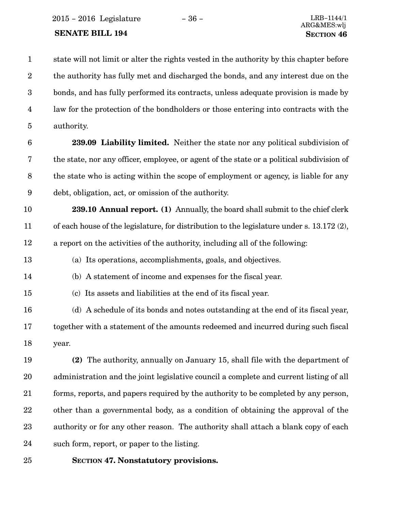2015 − 2016 Legislature − 36 − LRB−1144/1

### SENATE BILL 194 SECTION 46

13

14

state will not limit or alter the rights vested in the authority by this chapter before the authority has fully met and discharged the bonds, and any interest due on the bonds, and has fully performed its contracts, unless adequate provision is made by law for the protection of the bondholders or those entering into contracts with the authority. 1 2 3 4 5

239.09 Liability limited. Neither the state nor any political subdivision of the state, nor any officer, employee, or agent of the state or a political subdivision of the state who is acting within the scope of employment or agency, is liable for any debt, obligation, act, or omission of the authority. 6 7 8 9

239.10 Annual report. (1) Annually, the board shall submit to the chief clerk of each house of the legislature, for distribution to the legislature under s. 13.172 (2), a report on the activities of the authority, including all of the following: 10 11 12

(a) Its operations, accomplishments, goals, and objectives.

(b) A statement of income and expenses for the fiscal year.

(c) Its assets and liabilities at the end of its fiscal year. 15

(d) A schedule of its bonds and notes outstanding at the end of its fiscal year, together with a statement of the amounts redeemed and incurred during such fiscal year. 16 17 18

(2) The authority, annually on January 15, shall file with the department of administration and the joint legislative council a complete and current listing of all forms, reports, and papers required by the authority to be completed by any person, other than a governmental body, as a condition of obtaining the approval of the authority or for any other reason. The authority shall attach a blank copy of each such form, report, or paper to the listing. 19 20 21 22 23 24

SECTION 47. Nonstatutory provisions. 25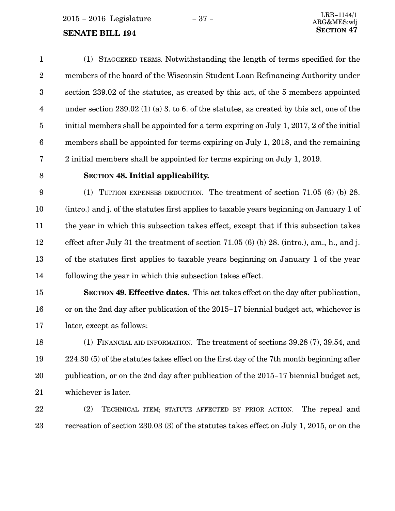$2015 - 2016$  Legislature  $-37 -$ 

#### **SENATE BILL 194**

(1) STAGGERED TERMS. Notwithstanding the length of terms specified for the members of the board of the Wisconsin Student Loan Refinancing Authority under section 239.02 of the statutes, as created by this act, of the 5 members appointed under section 239.02 (1) (a) 3. to 6. of the statutes, as created by this act, one of the initial members shall be appointed for a term expiring on July 1, 2017, 2 of the initial members shall be appointed for terms expiring on July 1, 2018, and the remaining 2 initial members shall be appointed for terms expiring on July 1, 2019. 1 2 3 4 5 6 7

8

#### SECTION 48. Initial applicability.

(1) TUITION EXPENSES DEDUCTION. The treatment of section 71.05 (6) (b) 28. (intro.) and j. of the statutes first applies to taxable years beginning on January 1 of the year in which this subsection takes effect, except that if this subsection takes effect after July 31 the treatment of section 71.05 (6) (b) 28. (intro.), am., h., and j. of the statutes first applies to taxable years beginning on January 1 of the year following the year in which this subsection takes effect. 9 10 11 12 13 14

SECTION 49. Effective dates. This act takes effect on the day after publication. or on the 2nd day after publication of the 2015−17 biennial budget act, whichever is later, except as follows: 15 16 17

(1) FINANCIAL AID INFORMATION. The treatment of sections 39.28 (7), 39.54, and 224.30 (5) of the statutes takes effect on the first day of the 7th month beginning after publication, or on the 2nd day after publication of the 2015−17 biennial budget act, whichever is later. 18 19 20 21

(2) TECHNICAL ITEM; STATUTE AFFECTED BY PRIOR ACTION. The repeal and recreation of section 230.03 (3) of the statutes takes effect on July 1, 2015, or on the 22 23